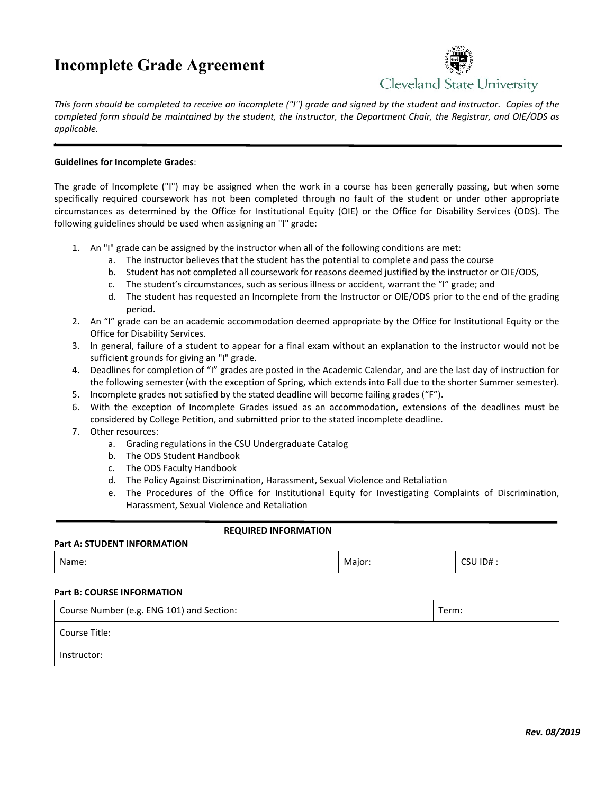# **Incomplete Grade Agreement**



*This form should be completed to receive an incomplete ("I") grade and signed by the student and instructor. Copies of the completed form should be maintained by the student, the instructor, the Department Chair, the Registrar, and OIE/ODS as applicable.* 

## **Guidelines for Incomplete Grades**:

,

The grade of Incomplete ("I") may be assigned when the work in a course has been generally passing, but when some specifically required coursework has not been completed through no fault of the student or under other appropriate circumstances as determined by the Office for Institutional Equity (OIE) or the Office for Disability Services (ODS). The following guidelines should be used when assigning an "I" grade:

- 1. An "I" grade can be assigned by the instructor when all of the following conditions are met:
	- a. The instructor believes that the student has the potential to complete and pass the course
	- b. Student has not completed all coursework for reasons deemed justified by the instructor or OIE/ODS,
	- c. The student's circumstances, such as serious illness or accident, warrant the "I" grade; and
	- d. The student has requested an Incomplete from the Instructor or OIE/ODS prior to the end of the grading period.
- 2. An "I" grade can be an academic accommodation deemed appropriate by the Office for Institutional Equity or the Office for Disability Services.
- 3. In general, failure of a student to appear for a final exam without an explanation to the instructor would not be sufficient grounds for giving an "I" grade.
- 4. Deadlines for completion of "I" grades are posted in the Academic Calendar, and are the last day of instruction for the following semester (with the exception of Spring, which extends into Fall due to the shorter Summer semester).
- 5. Incomplete grades not satisfied by the stated deadline will become failing grades ("F").
- 6. With the exception of Incomplete Grades issued as an accommodation, extensions of the deadlines must be considered by College Petition, and submitted prior to the stated incomplete deadline.
- 7. Other resources:
	- a. Grading regulations in the CSU Undergraduate Catalog
	- b. The ODS Student Handbook
	- c. The ODS Faculty Handbook
	- d. The Policy Against Discrimination, Harassment, Sexual Violence and Retaliation
	- e. The Procedures of the Office for Institutional Equity for Investigating Complaints of Discrimination, Harassment, Sexual Violence and Retaliation

### **REQUIRED INFORMATION**

### **Part A: STUDENT INFORMATION**

| Name: | -<br>Major: | $\sim$<br>ID#<br>. . |
|-------|-------------|----------------------|
|-------|-------------|----------------------|

## **Part B: COURSE INFORMATION**

| Course Number (e.g. ENG 101) and Section: | Term: |
|-------------------------------------------|-------|
| Course Title:                             |       |
| Instructor:                               |       |